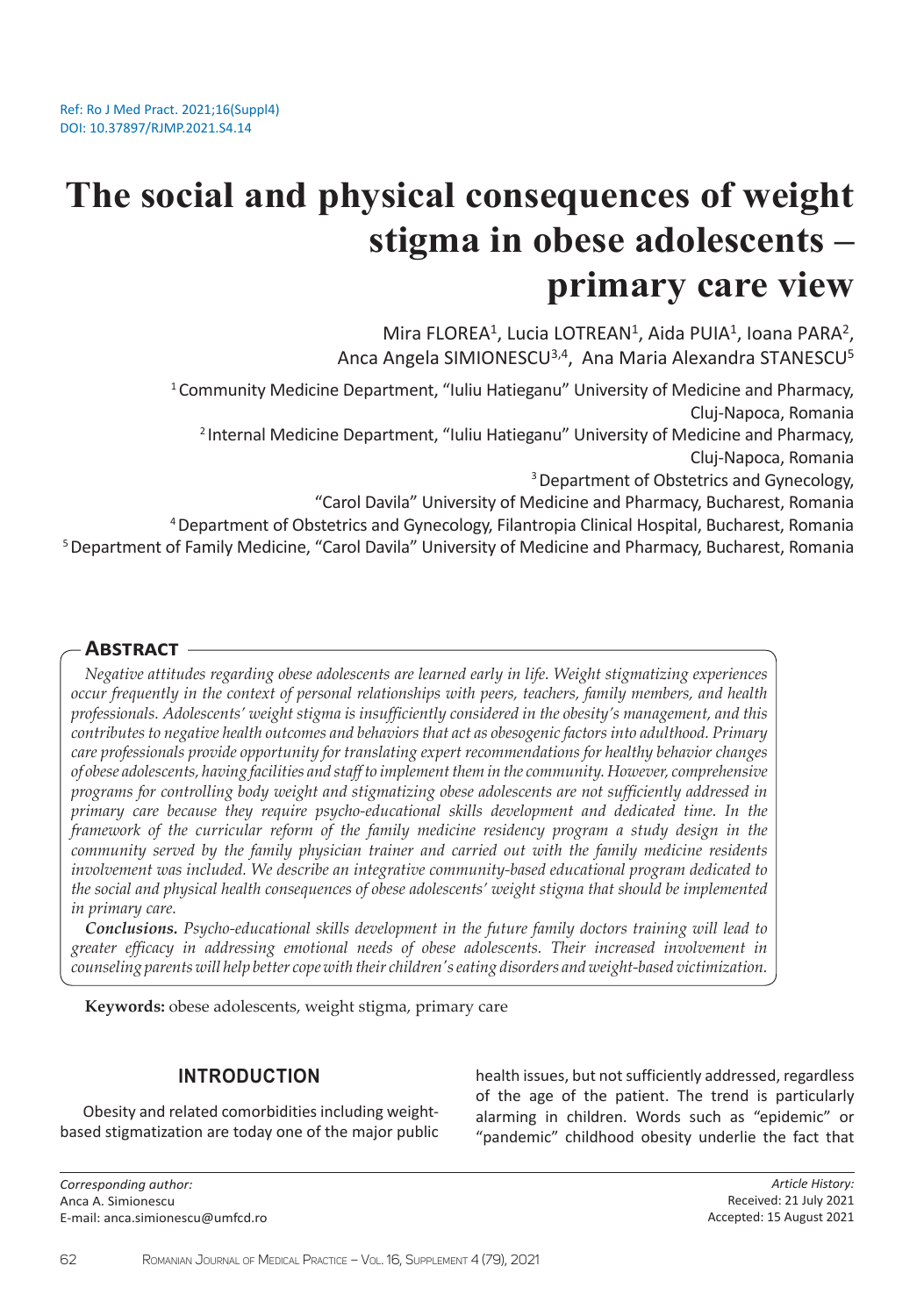# **The social and physical consequences of weight stigma in obese adolescents – primary care view**

Mira FLOREA<sup>1</sup>, Lucia LOTREAN<sup>1</sup>, Aida PUIA<sup>1</sup>, Ioana PARA<sup>2</sup>, Anca Angela SIMIONESCU<sup>3,4</sup>, Ana Maria Alexandra STANESCU<sup>5</sup>

<sup>1</sup> Community Medicine Department, "Iuliu Hatieganu" University of Medicine and Pharmacy, Cluj-Napoca, Romania

2 Internal Medicine Department, "Iuliu Hatieganu" University of Medicine and Pharmacy, Cluj-Napoca, Romania

<sup>3</sup> Department of Obstetrics and Gynecology,

"Carol Davila" University of Medicine and Pharmacy, Bucharest, Romania

4 Department of Obstetrics and Gynecology, Filantropia Clinical Hospital, Bucharest, Romania

5 Department of Family Medicine, "Carol Davila" University of Medicine and Pharmacy, Bucharest, Romania

### **Abstract**

*Negative attitudes regarding obese adolescents are learned early in life. Weight stigmatizing experiences occur frequently in the context of personal relationships with peers, teachers, family members, and health professionals. Adolescents' weight stigma is insufficiently considered in the obesity's management, and this contributes to negative health outcomes and behaviors that act as obesogenic factors into adulthood. Primary care professionals provide opportunity for translating expert recommendations for healthy behavior changes of obese adolescents, having facilities and staff to implement them in the community. However, comprehensive programs for controlling body weight and stigmatizing obese adolescents are not sufficiently addressed in primary care because they require psycho-educational skills development and dedicated time. In the framework of the curricular reform of the family medicine residency program a study design in the community served by the family physician trainer and carried out with the family medicine residents involvement was included. We describe an integrative community-based educational program dedicated to the social and physical health consequences of obese adolescents' weight stigma that should be implemented in primary care.* 

*Conclusions. Psycho-educational skills development in the future family doctors training will lead to greater efficacy in addressing emotional needs of obese adolescents. Their increased involvement in counseling parents will help better cope with their children's eating disorders and weight-based victimization.*

**Keywords:** obese adolescents, weight stigma, primary care

## **INTRODUCTION**

Obesity and related comorbidities including weightbased stigmatization are today one of the major public

*Corresponding author:*  Anca A. Simionescu E-mail: anca.simionescu@umfcd.ro health issues, but not sufficiently addressed, regardless of the age of the patient. The trend is particularly alarming in children. Words such as "epidemic" or "pandemic" childhood obesity underlie the fact that

> *Article History:* Received: 21 July 2021 Accepted: 15 August 2021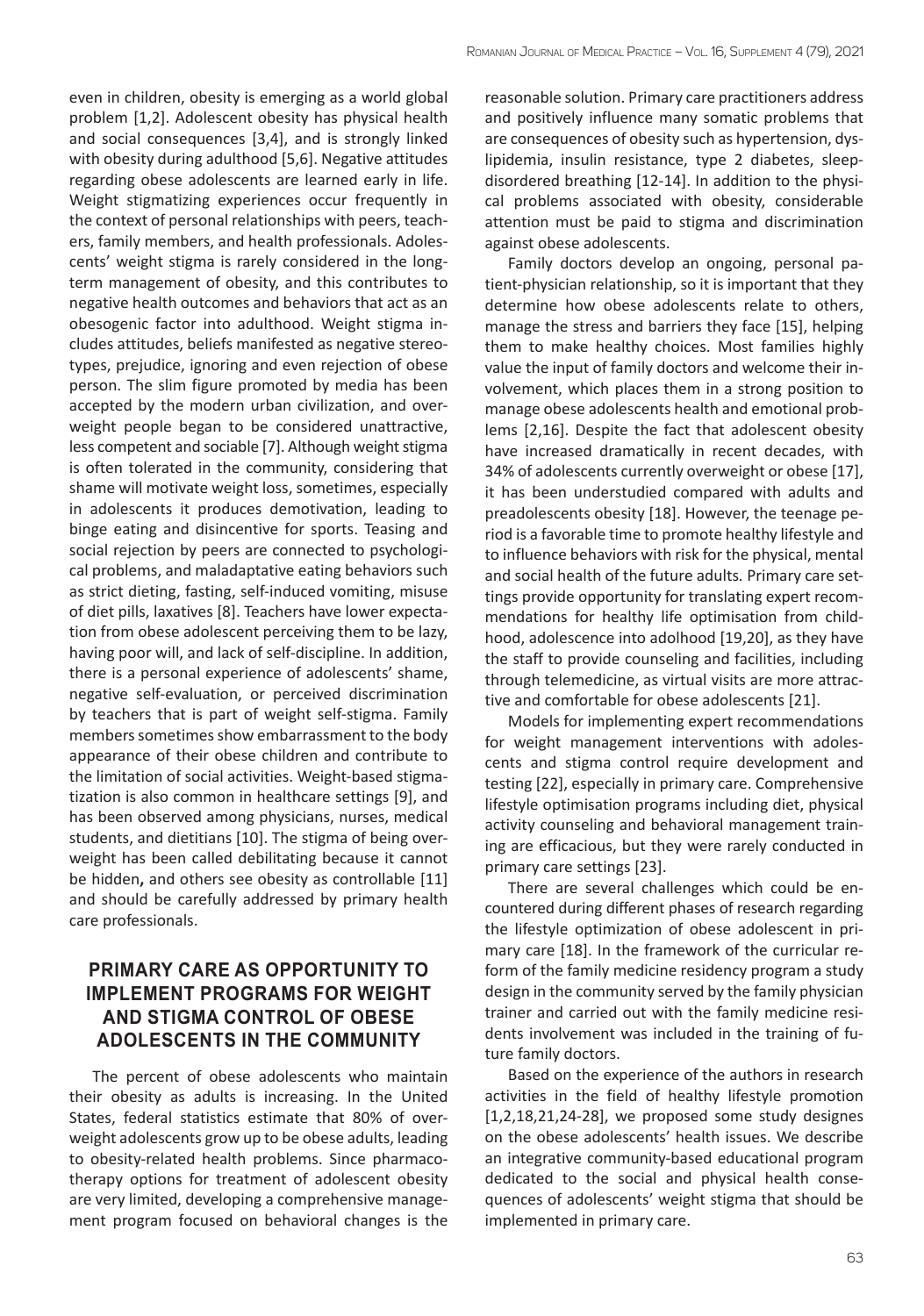even in children, obesity is emerging as a world global problem [1,2]. Adolescent obesity has physical health and social consequences [3,4], and is strongly linked with obesity during adulthood [5,6]. Negative attitudes regarding obese adolescents are learned early in life. Weight stigmatizing experiences occur frequently in the context of personal relationships with peers, teachers, family members, and health professionals. Adolescents' weight stigma is rarely considered in the longterm management of obesity, and this contributes to negative health outcomes and behaviors that act as an obesogenic factor into adulthood. Weight stigma includes attitudes, beliefs manifested as negative stereotypes, prejudice, ignoring and even rejection of obese person. The slim figure promoted by media has been accepted by the modern urban civilization, and overweight people began to be considered unattractive, less competent and sociable [7]. Although weight stigma is often tolerated in the community, considering that shame will motivate weight loss, sometimes, especially in adolescents it produces demotivation, leading to binge eating and disincentive for sports. Teasing and social rejection by peers are connected to psychological problems, and maladaptative eating behaviors such as strict dieting, fasting, self-induced vomiting, misuse of diet pills, laxatives [8]. Teachers have lower expectation from obese adolescent perceiving them to be lazy, having poor will, and lack of self-discipline. In addition, there is a personal experience of adolescents' shame, negative self-evaluation, or perceived discrimination by teachers that is part of weight self-stigma. Family members sometimes show embarrassment to the body appearance of their obese children and contribute to the limitation of social activities. Weight-based stigmatization is also common in healthcare settings [9], and has been observed among physicians, nurses, medical students, and dietitians [10]. The stigma of being overweight has been called debilitating because it cannot be hidden**,** and others see obesity as controllable [11] and should be carefully addressed by primary health care professionals.

# **PRIMARY CARE AS OPPORTUNITY TO IMPLEMENT PROGRAMS FOR WEIGHT AND STIGMA CONTROL OF OBESE ADOLESCENTS IN THE COMMUNITY**

The percent of obese adolescents who maintain their obesity as adults is increasing. In the United States, federal statistics estimate that 80% of overweight adolescents grow up to be obese adults, leading to obesity-related health problems. Since pharmacotherapy options for treatment of adolescent obesity are very limited, developing a comprehensive management program focused on behavioral changes is the reasonable solution. Primary care practitioners address and positively influence many somatic problems that are consequences of obesity such as hypertension, dyslipidemia, insulin resistance, type 2 diabetes, sleepdisordered breathing [12-14]. In addition to the physical problems associated with obesity, considerable attention must be paid to stigma and discrimination against obese adolescents.

Family doctors develop an ongoing, personal patient-physician relationship, so it is important that they determine how obese adolescents relate to others, manage the stress and barriers they face [15], helping them to make healthy choices. Most families highly value the input of family doctors and welcome their involvement, which places them in a strong position to manage obese adolescents health and emotional problems [2,16]. Despite the fact that adolescent obesity have increased dramatically in recent decades, with 34% of adolescents currently overweight or obese [17], it has been understudied compared with adults and preadolescents obesity [18]. However, the teenage period is a favorable time to promote healthy lifestyle and to influence behaviors with risk for the physical, mental and social health of the future adults*.* Primary care settings provide opportunity for translating expert recommendations for healthy life optimisation from childhood, adolescence into adolhood [19,20], as they have the staff to provide counseling and facilities, including through telemedicine, as virtual visits are more attractive and comfortable for obese adolescents [21].

Models for implementing expert recommendations for weight management interventions with adolescents and stigma control require development and testing [22], especially in primary care. Comprehensive lifestyle optimisation programs including diet, physical activity counseling and behavioral management training are efficacious, but they were rarely conducted in primary care settings [23].

There are several challenges which could be encountered during different phases of research regarding the lifestyle optimization of obese adolescent in primary care [18]. In the framework of the curricular reform of the family medicine residency program a study design in the community served by the family physician trainer and carried out with the family medicine residents involvement was included in the training of future family doctors.

Based on the experience of the authors in research activities in the field of healthy lifestyle promotion [1,2,18,21,24-28], we proposed some study designes on the obese adolescents' health issues. We describe an integrative community-based educational program dedicated to the social and physical health consequences of adolescents' weight stigma that should be implemented in primary care.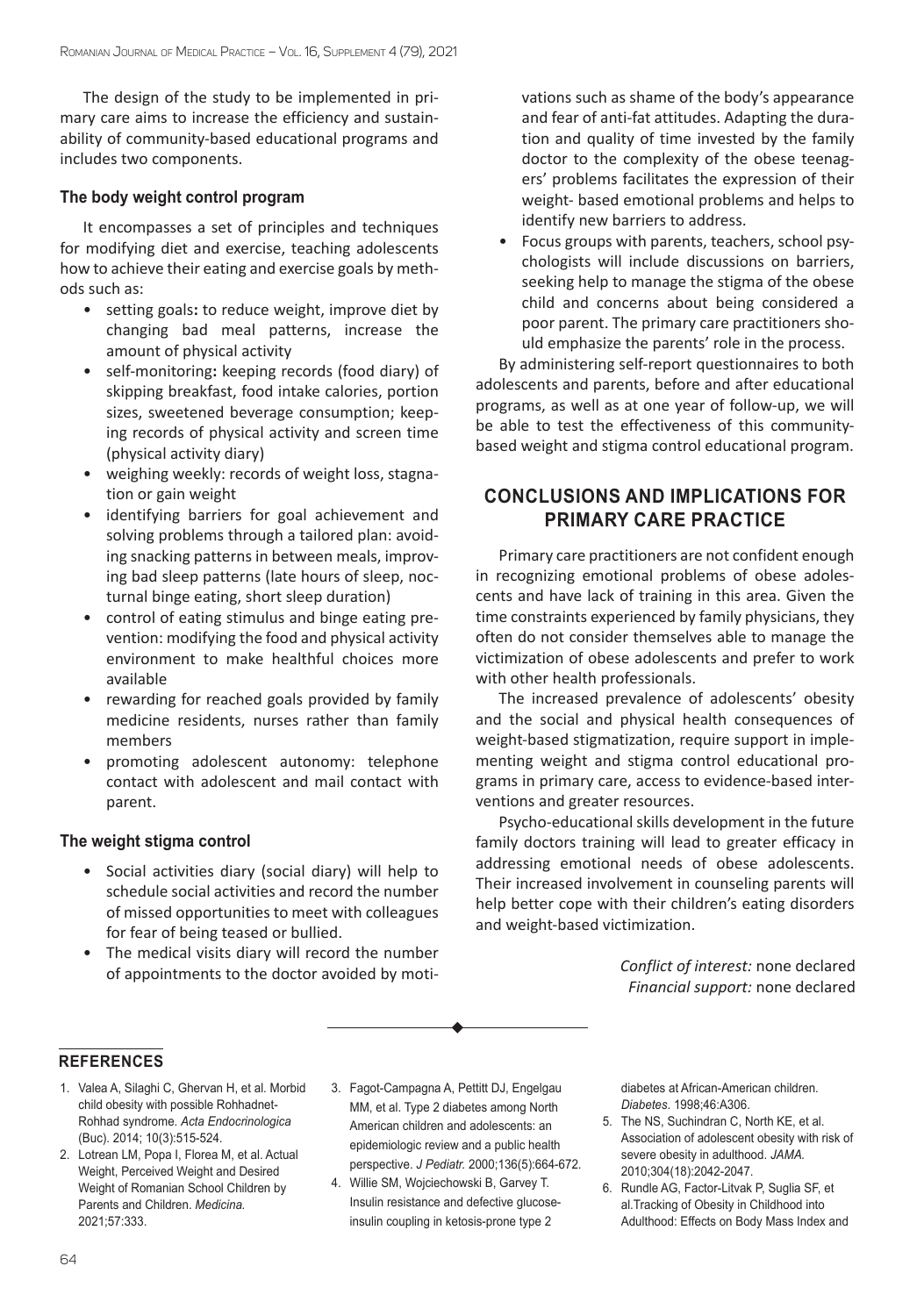The design of the study to be implemented in primary care aims to increase the efficiency and sustainability of community-based educational programs and includes two components.

#### **The body weight control program**

It encompasses a set of principles and techniques for modifying diet and exercise, teaching adolescents how to achieve their eating and exercise goals by methods such as:

- setting goals**:** to reduce weight, improve diet by changing bad meal patterns, increase the amount of physical activity
- self-monitoring**:** keeping records (food diary) of skipping breakfast, food intake calories, portion sizes, sweetened beverage consumption; keeping records of physical activity and screen time (physical activity diary)
- weighing weekly: records of weight loss, stagnation or gain weight
- identifying barriers for goal achievement and solving problems through a tailored plan: avoiding snacking patterns in between meals, improving bad sleep patterns (late hours of sleep, nocturnal binge eating, short sleep duration)
- control of eating stimulus and binge eating prevention: modifying the food and physical activity environment to make healthful choices more available
- rewarding for reached goals provided by family medicine residents, nurses rather than family members
- promoting adolescent autonomy: telephone contact with adolescent and mail contact with parent.

#### **The weight stigma control**

- Social activities diary (social diary) will help to schedule social activities and record the number of missed opportunities to meet with colleagues for fear of being teased or bullied.
- The medical visits diary will record the number of appointments to the doctor avoided by moti-

vations such as shame of the body's appearance and fear of anti-fat attitudes. Adapting the duration and quality of time invested by the family doctor to the complexity of the obese teenagers' problems facilitates the expression of their weight- based emotional problems and helps to identify new barriers to address.

• Focus groups with parents, teachers, school psychologists will include discussions on barriers, seeking help to manage the stigma of the obese child and concerns about being considered a poor parent. The primary care practitioners should emphasize the parents' role in the process.

By administering self-report questionnaires to both adolescents and parents, before and after educational programs, as well as at one year of follow-up, we will be able to test the effectiveness of this communitybased weight and stigma control educational program.

## **CONCLUSIONS AND IMPLICATIONS FOR PRIMARY CARE PRACTICE**

Primary care practitioners are not confident enough in recognizing emotional problems of obese adolescents and have lack of training in this area. Given the time constraints experienced by family physicians, they often do not consider themselves able to manage the victimization of obese adolescents and prefer to work with other health professionals.

The increased prevalence of adolescents' obesity and the social and physical health consequences of weight-based stigmatization, require support in implementing weight and stigma control educational programs in primary care, access to evidence-based interventions and greater resources.

Psycho-educational skills development in the future family doctors training will lead to greater efficacy in addressing emotional needs of obese adolescents. Their increased involvement in counseling parents will help better cope with their children's eating disorders and weight-based victimization.

> *Conflict of interest:* none declared *Financial support:* none declared

#### **REFERENCES**

- 1. Valea A, Silaghi C, Ghervan H, et al. Morbid child obesity with possible Rohhadnet-Rohhad syndrome. *Acta Endocrinologica*  (Buc). 2014; 10(3):515-524.
- 2. Lotrean LM, Popa I, Florea M, et al. Actual Weight, Perceived Weight and Desired Weight of Romanian School Children by Parents and Children. *Medicina.* 2021;57:333.
- 3. Fagot-Campagna A, Pettitt DJ, Engelgau MM, et al. Type 2 diabetes among North American children and adolescents: an epidemiologic review and a public health perspective. *J Pediatr.* 2000;136(5):664-672.
- 4. Willie SM, Wojciechowski B, Garvey T. Insulin resistance and defective glucoseinsulin coupling in ketosis-prone type 2

diabetes at African-American children. *Diabetes*. 1998;46:A306.

- 5. The NS, Suchindran C, North KE, et al. Association of adolescent obesity with risk of severe obesity in adulthood. *JAMA.* 2010;304(18):2042-2047.
- 6. Rundle AG, Factor-Litvak P, Suglia SF, et al.Tracking of Obesity in Childhood into Adulthood: Effects on Body Mass Index and